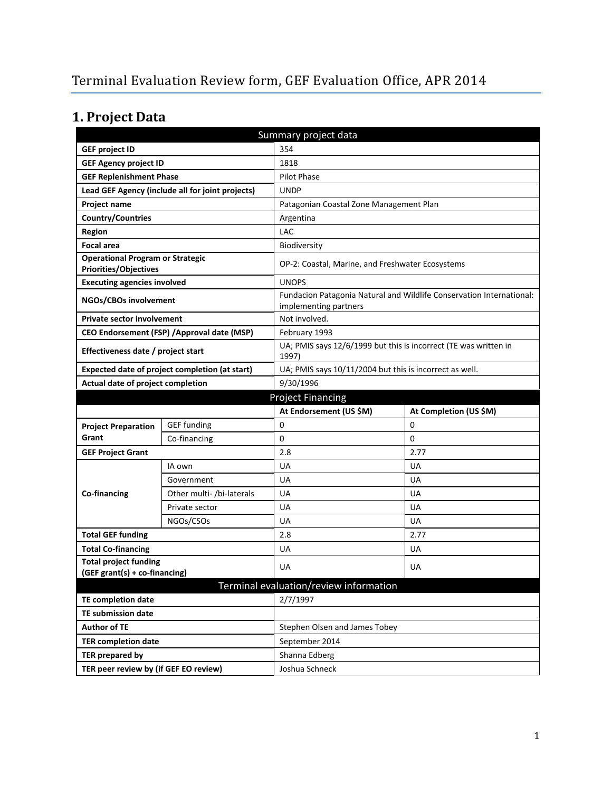# **1. Project Data**

| Summary project data                                                    |                                                  |                                                                           |                                                                      |  |  |
|-------------------------------------------------------------------------|--------------------------------------------------|---------------------------------------------------------------------------|----------------------------------------------------------------------|--|--|
| <b>GEF project ID</b>                                                   |                                                  | 354                                                                       |                                                                      |  |  |
| <b>GEF Agency project ID</b>                                            |                                                  | 1818                                                                      |                                                                      |  |  |
| <b>GEF Replenishment Phase</b>                                          |                                                  | Pilot Phase                                                               |                                                                      |  |  |
|                                                                         | Lead GEF Agency (include all for joint projects) | <b>UNDP</b>                                                               |                                                                      |  |  |
| Project name                                                            |                                                  |                                                                           | Patagonian Coastal Zone Management Plan                              |  |  |
| Country/Countries                                                       |                                                  | Argentina                                                                 |                                                                      |  |  |
| <b>Region</b>                                                           |                                                  | LAC                                                                       |                                                                      |  |  |
| <b>Focal area</b>                                                       | Biodiversity                                     |                                                                           |                                                                      |  |  |
| <b>Operational Program or Strategic</b><br><b>Priorities/Objectives</b> |                                                  | OP-2: Coastal, Marine, and Freshwater Ecosystems                          |                                                                      |  |  |
| <b>Executing agencies involved</b>                                      |                                                  | <b>UNOPS</b>                                                              |                                                                      |  |  |
| NGOs/CBOs involvement                                                   |                                                  | implementing partners                                                     | Fundacion Patagonia Natural and Wildlife Conservation International: |  |  |
| <b>Private sector involvement</b>                                       |                                                  | Not involved.                                                             |                                                                      |  |  |
|                                                                         | CEO Endorsement (FSP) / Approval date (MSP)      | February 1993                                                             |                                                                      |  |  |
| Effectiveness date / project start                                      |                                                  | UA; PMIS says 12/6/1999 but this is incorrect (TE was written in<br>1997) |                                                                      |  |  |
| Expected date of project completion (at start)                          |                                                  |                                                                           | UA; PMIS says 10/11/2004 but this is incorrect as well.              |  |  |
| Actual date of project completion                                       |                                                  | 9/30/1996                                                                 |                                                                      |  |  |
| <b>Project Financing</b>                                                |                                                  |                                                                           |                                                                      |  |  |
|                                                                         |                                                  |                                                                           |                                                                      |  |  |
|                                                                         |                                                  | At Endorsement (US \$M)                                                   | At Completion (US \$M)                                               |  |  |
| <b>Project Preparation</b>                                              | <b>GEF</b> funding                               | 0                                                                         | 0                                                                    |  |  |
| Grant                                                                   | Co-financing                                     | 0                                                                         | 0                                                                    |  |  |
| <b>GEF Project Grant</b>                                                |                                                  | 2.8                                                                       | 2.77                                                                 |  |  |
|                                                                         | IA own                                           | UA                                                                        | UA                                                                   |  |  |
|                                                                         | Government                                       | UA                                                                        | UA                                                                   |  |  |
| Co-financing                                                            | Other multi- /bi-laterals                        | UA                                                                        | <b>UA</b>                                                            |  |  |
|                                                                         | Private sector                                   | UA                                                                        | <b>UA</b>                                                            |  |  |
|                                                                         | NGOs/CSOs                                        | UA                                                                        | UA                                                                   |  |  |
| <b>Total GEF funding</b>                                                |                                                  | 2.8                                                                       | 2.77                                                                 |  |  |
| <b>Total Co-financing</b>                                               |                                                  | UA                                                                        | UA                                                                   |  |  |
| <b>Total project funding</b>                                            |                                                  | UA                                                                        | UA                                                                   |  |  |
| (GEF grant(s) + co-financing)                                           |                                                  |                                                                           |                                                                      |  |  |
|                                                                         |                                                  | Terminal evaluation/review information                                    |                                                                      |  |  |
| <b>TE completion date</b>                                               |                                                  | 2/7/1997                                                                  |                                                                      |  |  |
| <b>TE submission date</b>                                               |                                                  |                                                                           |                                                                      |  |  |
| <b>Author of TE</b>                                                     |                                                  | Stephen Olsen and James Tobey                                             |                                                                      |  |  |
| <b>TER completion date</b>                                              |                                                  | September 2014                                                            |                                                                      |  |  |
| <b>TER prepared by</b><br>TER peer review by (if GEF EO review)         |                                                  | Shanna Edberg<br>Joshua Schneck                                           |                                                                      |  |  |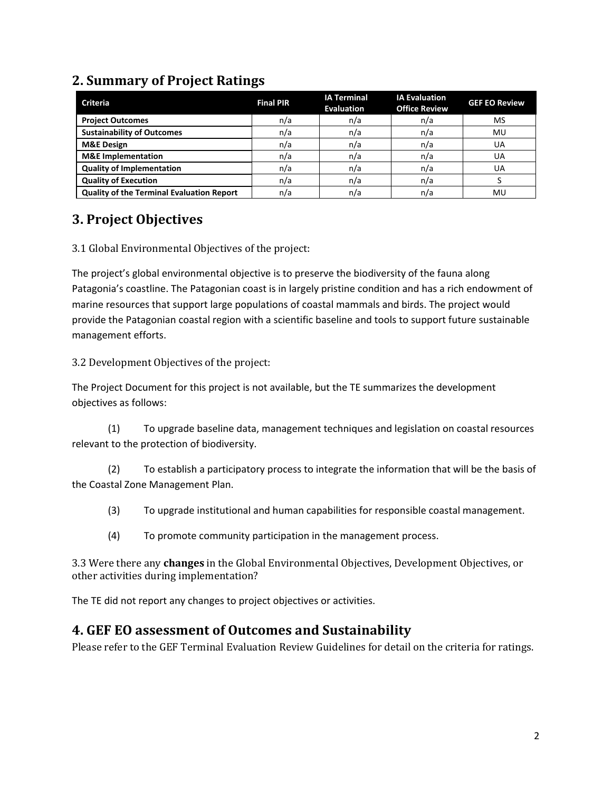## **2. Summary of Project Ratings**

| <b>Criteria</b>                                  | <b>Final PIR</b> | <b>IA Terminal</b><br><b>Evaluation</b> | <b>IA Evaluation</b><br><b>Office Review</b> | <b>GEF EO Review</b> |
|--------------------------------------------------|------------------|-----------------------------------------|----------------------------------------------|----------------------|
| <b>Project Outcomes</b>                          | n/a              | n/a                                     | n/a                                          | MS                   |
| <b>Sustainability of Outcomes</b>                | n/a              | n/a                                     | n/a                                          | MU                   |
| <b>M&amp;E Design</b>                            | n/a              | n/a                                     | n/a                                          | UA                   |
| <b>M&amp;E</b> Implementation                    | n/a              | n/a                                     | n/a                                          | UA                   |
| <b>Quality of Implementation</b>                 | n/a              | n/a                                     | n/a                                          | UA                   |
| <b>Quality of Execution</b>                      | n/a              | n/a                                     | n/a                                          |                      |
| <b>Quality of the Terminal Evaluation Report</b> | n/a              | n/a                                     | n/a                                          | MU                   |

## **3. Project Objectives**

3.1 Global Environmental Objectives of the project:

The project's global environmental objective is to preserve the biodiversity of the fauna along Patagonia's coastline. The Patagonian coast is in largely pristine condition and has a rich endowment of marine resources that support large populations of coastal mammals and birds. The project would provide the Patagonian coastal region with a scientific baseline and tools to support future sustainable management efforts.

3.2 Development Objectives of the project:

The Project Document for this project is not available, but the TE summarizes the development objectives as follows:

(1) To upgrade baseline data, management techniques and legislation on coastal resources relevant to the protection of biodiversity.

(2) To establish a participatory process to integrate the information that will be the basis of the Coastal Zone Management Plan.

(3) To upgrade institutional and human capabilities for responsible coastal management.

(4) To promote community participation in the management process.

3.3 Were there any **changes** in the Global Environmental Objectives, Development Objectives, or other activities during implementation?

The TE did not report any changes to project objectives or activities.

#### **4. GEF EO assessment of Outcomes and Sustainability**

Please refer to the GEF Terminal Evaluation Review Guidelines for detail on the criteria for ratings.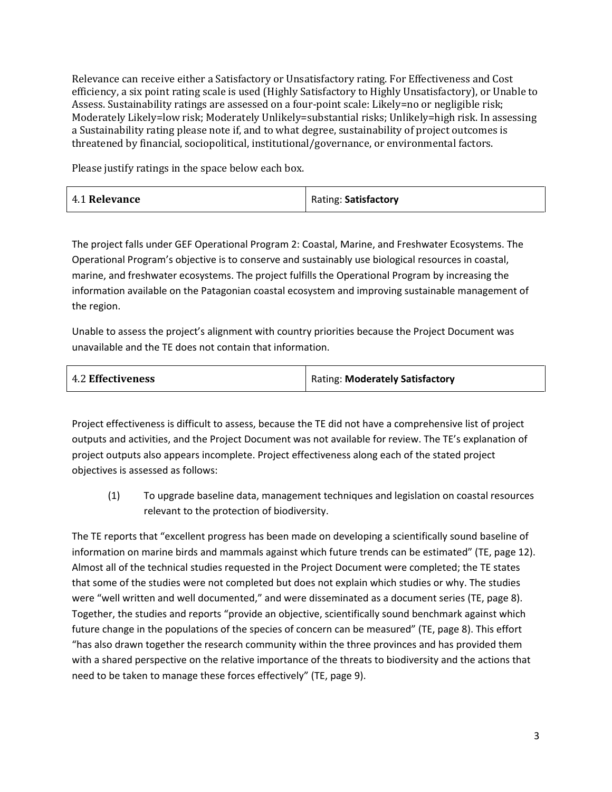Relevance can receive either a Satisfactory or Unsatisfactory rating. For Effectiveness and Cost efficiency, a six point rating scale is used (Highly Satisfactory to Highly Unsatisfactory), or Unable to Assess. Sustainability ratings are assessed on a four-point scale: Likely=no or negligible risk; Moderately Likely=low risk; Moderately Unlikely=substantial risks; Unlikely=high risk. In assessing a Sustainability rating please note if, and to what degree, sustainability of project outcomes is threatened by financial, sociopolitical, institutional/governance, or environmental factors.

Please justify ratings in the space below each box.

| 4.1 Relevance | Rating: Satisfactory |
|---------------|----------------------|
|---------------|----------------------|

The project falls under GEF Operational Program 2: Coastal, Marine, and Freshwater Ecosystems. The Operational Program's objective is to conserve and sustainably use biological resources in coastal, marine, and freshwater ecosystems. The project fulfills the Operational Program by increasing the information available on the Patagonian coastal ecosystem and improving sustainable management of the region.

Unable to assess the project's alignment with country priorities because the Project Document was unavailable and the TE does not contain that information.

| <b>4.2 Effectiveness</b> | Rating: Moderately Satisfactory |
|--------------------------|---------------------------------|
|                          |                                 |

Project effectiveness is difficult to assess, because the TE did not have a comprehensive list of project outputs and activities, and the Project Document was not available for review. The TE's explanation of project outputs also appears incomplete. Project effectiveness along each of the stated project objectives is assessed as follows:

(1) To upgrade baseline data, management techniques and legislation on coastal resources relevant to the protection of biodiversity.

The TE reports that "excellent progress has been made on developing a scientifically sound baseline of information on marine birds and mammals against which future trends can be estimated" (TE, page 12). Almost all of the technical studies requested in the Project Document were completed; the TE states that some of the studies were not completed but does not explain which studies or why. The studies were "well written and well documented," and were disseminated as a document series (TE, page 8). Together, the studies and reports "provide an objective, scientifically sound benchmark against which future change in the populations of the species of concern can be measured" (TE, page 8). This effort "has also drawn together the research community within the three provinces and has provided them with a shared perspective on the relative importance of the threats to biodiversity and the actions that need to be taken to manage these forces effectively" (TE, page 9).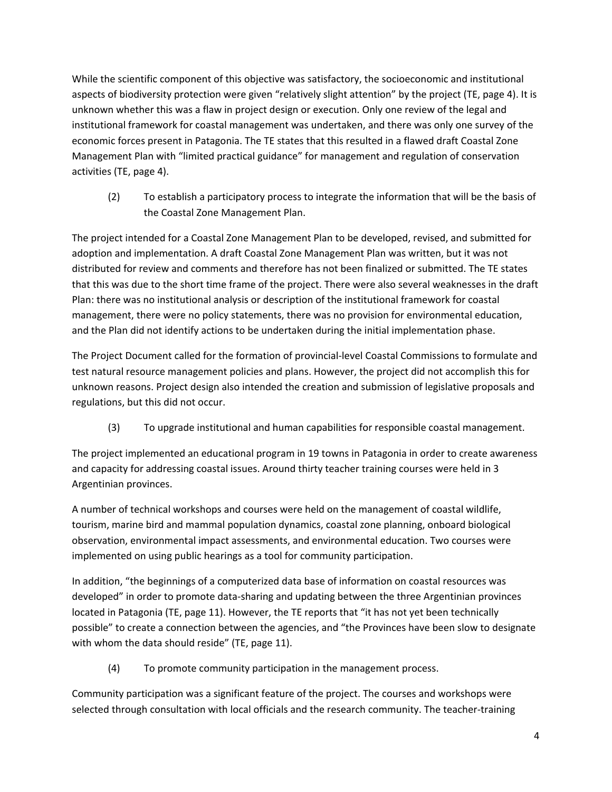While the scientific component of this objective was satisfactory, the socioeconomic and institutional aspects of biodiversity protection were given "relatively slight attention" by the project (TE, page 4). It is unknown whether this was a flaw in project design or execution. Only one review of the legal and institutional framework for coastal management was undertaken, and there was only one survey of the economic forces present in Patagonia. The TE states that this resulted in a flawed draft Coastal Zone Management Plan with "limited practical guidance" for management and regulation of conservation activities (TE, page 4).

(2) To establish a participatory process to integrate the information that will be the basis of the Coastal Zone Management Plan.

The project intended for a Coastal Zone Management Plan to be developed, revised, and submitted for adoption and implementation. A draft Coastal Zone Management Plan was written, but it was not distributed for review and comments and therefore has not been finalized or submitted. The TE states that this was due to the short time frame of the project. There were also several weaknesses in the draft Plan: there was no institutional analysis or description of the institutional framework for coastal management, there were no policy statements, there was no provision for environmental education, and the Plan did not identify actions to be undertaken during the initial implementation phase.

The Project Document called for the formation of provincial-level Coastal Commissions to formulate and test natural resource management policies and plans. However, the project did not accomplish this for unknown reasons. Project design also intended the creation and submission of legislative proposals and regulations, but this did not occur.

(3) To upgrade institutional and human capabilities for responsible coastal management.

The project implemented an educational program in 19 towns in Patagonia in order to create awareness and capacity for addressing coastal issues. Around thirty teacher training courses were held in 3 Argentinian provinces.

A number of technical workshops and courses were held on the management of coastal wildlife, tourism, marine bird and mammal population dynamics, coastal zone planning, onboard biological observation, environmental impact assessments, and environmental education. Two courses were implemented on using public hearings as a tool for community participation.

In addition, "the beginnings of a computerized data base of information on coastal resources was developed" in order to promote data-sharing and updating between the three Argentinian provinces located in Patagonia (TE, page 11). However, the TE reports that "it has not yet been technically possible" to create a connection between the agencies, and "the Provinces have been slow to designate with whom the data should reside" (TE, page 11).

(4) To promote community participation in the management process.

Community participation was a significant feature of the project. The courses and workshops were selected through consultation with local officials and the research community. The teacher-training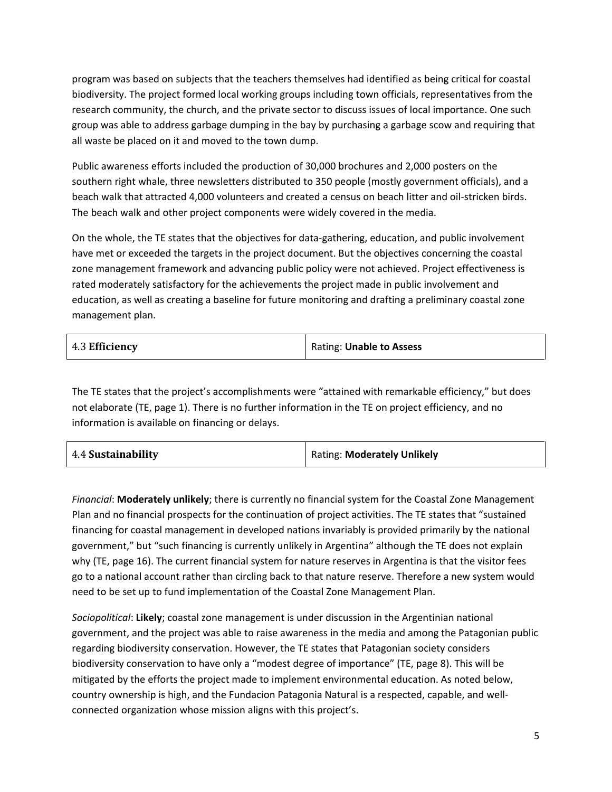program was based on subjects that the teachers themselves had identified as being critical for coastal biodiversity. The project formed local working groups including town officials, representatives from the research community, the church, and the private sector to discuss issues of local importance. One such group was able to address garbage dumping in the bay by purchasing a garbage scow and requiring that all waste be placed on it and moved to the town dump.

Public awareness efforts included the production of 30,000 brochures and 2,000 posters on the southern right whale, three newsletters distributed to 350 people (mostly government officials), and a beach walk that attracted 4,000 volunteers and created a census on beach litter and oil-stricken birds. The beach walk and other project components were widely covered in the media.

On the whole, the TE states that the objectives for data-gathering, education, and public involvement have met or exceeded the targets in the project document. But the objectives concerning the coastal zone management framework and advancing public policy were not achieved. Project effectiveness is rated moderately satisfactory for the achievements the project made in public involvement and education, as well as creating a baseline for future monitoring and drafting a preliminary coastal zone management plan.

| 4.3 Efficiency | Rating: Unable to Assess |
|----------------|--------------------------|
|----------------|--------------------------|

The TE states that the project's accomplishments were "attained with remarkable efficiency," but does not elaborate (TE, page 1). There is no further information in the TE on project efficiency, and no information is available on financing or delays.

*Financial*: **Moderately unlikely**; there is currently no financial system for the Coastal Zone Management Plan and no financial prospects for the continuation of project activities. The TE states that "sustained financing for coastal management in developed nations invariably is provided primarily by the national government," but "such financing is currently unlikely in Argentina" although the TE does not explain why (TE, page 16). The current financial system for nature reserves in Argentina is that the visitor fees go to a national account rather than circling back to that nature reserve. Therefore a new system would need to be set up to fund implementation of the Coastal Zone Management Plan.

*Sociopolitical*: **Likely**; coastal zone management is under discussion in the Argentinian national government, and the project was able to raise awareness in the media and among the Patagonian public regarding biodiversity conservation. However, the TE states that Patagonian society considers biodiversity conservation to have only a "modest degree of importance" (TE, page 8). This will be mitigated by the efforts the project made to implement environmental education. As noted below, country ownership is high, and the Fundacion Patagonia Natural is a respected, capable, and wellconnected organization whose mission aligns with this project's.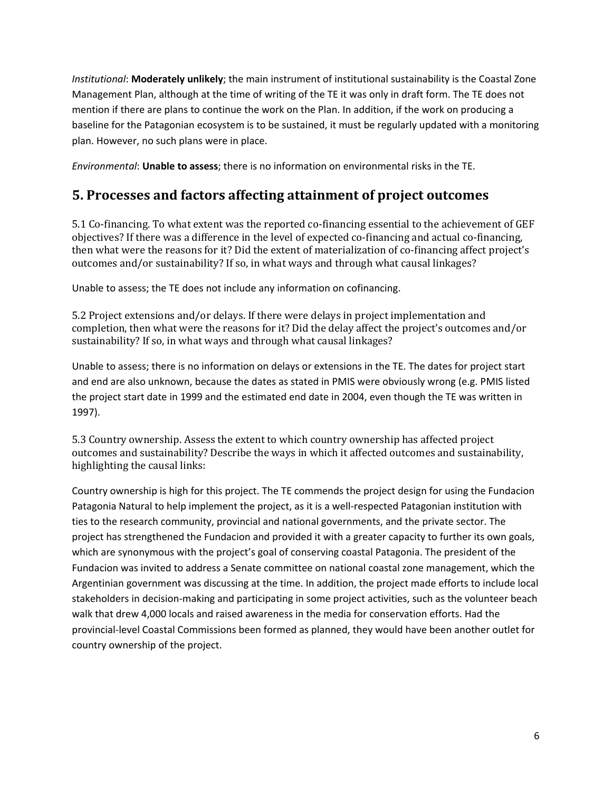*Institutional*: **Moderately unlikely**; the main instrument of institutional sustainability is the Coastal Zone Management Plan, although at the time of writing of the TE it was only in draft form. The TE does not mention if there are plans to continue the work on the Plan. In addition, if the work on producing a baseline for the Patagonian ecosystem is to be sustained, it must be regularly updated with a monitoring plan. However, no such plans were in place.

*Environmental*: **Unable to assess**; there is no information on environmental risks in the TE.

### **5. Processes and factors affecting attainment of project outcomes**

5.1 Co-financing. To what extent was the reported co-financing essential to the achievement of GEF objectives? If there was a difference in the level of expected co-financing and actual co-financing, then what were the reasons for it? Did the extent of materialization of co-financing affect project's outcomes and/or sustainability? If so, in what ways and through what causal linkages?

Unable to assess; the TE does not include any information on cofinancing.

5.2 Project extensions and/or delays. If there were delays in project implementation and completion, then what were the reasons for it? Did the delay affect the project's outcomes and/or sustainability? If so, in what ways and through what causal linkages?

Unable to assess; there is no information on delays or extensions in the TE. The dates for project start and end are also unknown, because the dates as stated in PMIS were obviously wrong (e.g. PMIS listed the project start date in 1999 and the estimated end date in 2004, even though the TE was written in 1997).

5.3 Country ownership. Assess the extent to which country ownership has affected project outcomes and sustainability? Describe the ways in which it affected outcomes and sustainability, highlighting the causal links:

Country ownership is high for this project. The TE commends the project design for using the Fundacion Patagonia Natural to help implement the project, as it is a well-respected Patagonian institution with ties to the research community, provincial and national governments, and the private sector. The project has strengthened the Fundacion and provided it with a greater capacity to further its own goals, which are synonymous with the project's goal of conserving coastal Patagonia. The president of the Fundacion was invited to address a Senate committee on national coastal zone management, which the Argentinian government was discussing at the time. In addition, the project made efforts to include local stakeholders in decision-making and participating in some project activities, such as the volunteer beach walk that drew 4,000 locals and raised awareness in the media for conservation efforts. Had the provincial-level Coastal Commissions been formed as planned, they would have been another outlet for country ownership of the project.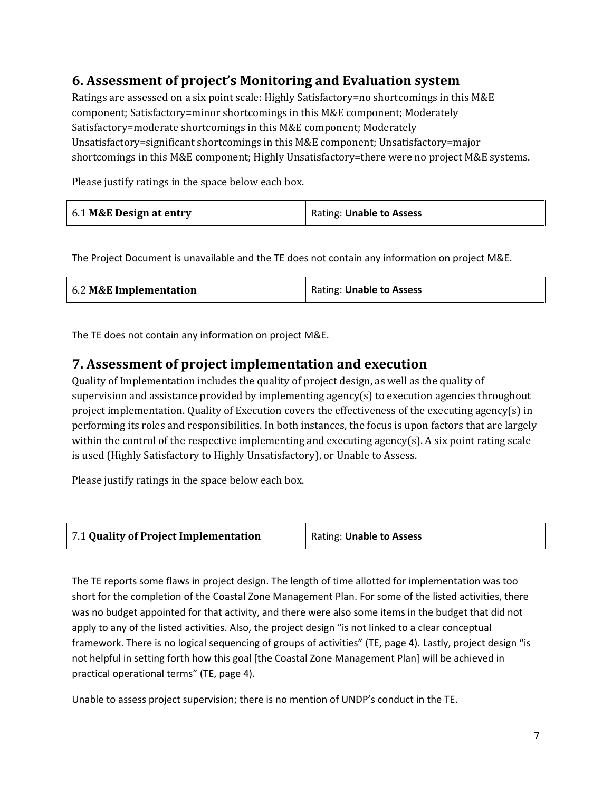## **6. Assessment of project's Monitoring and Evaluation system**

Ratings are assessed on a six point scale: Highly Satisfactory=no shortcomings in this M&E component; Satisfactory=minor shortcomings in this M&E component; Moderately Satisfactory=moderate shortcomings in this M&E component; Moderately Unsatisfactory=significant shortcomings in this M&E component; Unsatisfactory=major shortcomings in this M&E component; Highly Unsatisfactory=there were no project M&E systems.

Please justify ratings in the space below each box.

| 6.1 M&E Design at entry<br>Rating: Unable to Assess |
|-----------------------------------------------------|
|-----------------------------------------------------|

The Project Document is unavailable and the TE does not contain any information on project M&E.

| 6.2 M&E Implementation | Rating: Unable to Assess |
|------------------------|--------------------------|
|------------------------|--------------------------|

The TE does not contain any information on project M&E.

### **7. Assessment of project implementation and execution**

Quality of Implementation includes the quality of project design, as well as the quality of supervision and assistance provided by implementing agency(s) to execution agencies throughout project implementation. Quality of Execution covers the effectiveness of the executing agency(s) in performing its roles and responsibilities. In both instances, the focus is upon factors that are largely within the control of the respective implementing and executing agency(s). A six point rating scale is used (Highly Satisfactory to Highly Unsatisfactory), or Unable to Assess.

Please justify ratings in the space below each box.

| 7.1 Quality of Project Implementation | Rating: Unable to Assess |
|---------------------------------------|--------------------------|
|                                       |                          |

The TE reports some flaws in project design. The length of time allotted for implementation was too short for the completion of the Coastal Zone Management Plan. For some of the listed activities, there was no budget appointed for that activity, and there were also some items in the budget that did not apply to any of the listed activities. Also, the project design "is not linked to a clear conceptual framework. There is no logical sequencing of groups of activities" (TE, page 4). Lastly, project design "is not helpful in setting forth how this goal [the Coastal Zone Management Plan] will be achieved in practical operational terms" (TE, page 4).

Unable to assess project supervision; there is no mention of UNDP's conduct in the TE.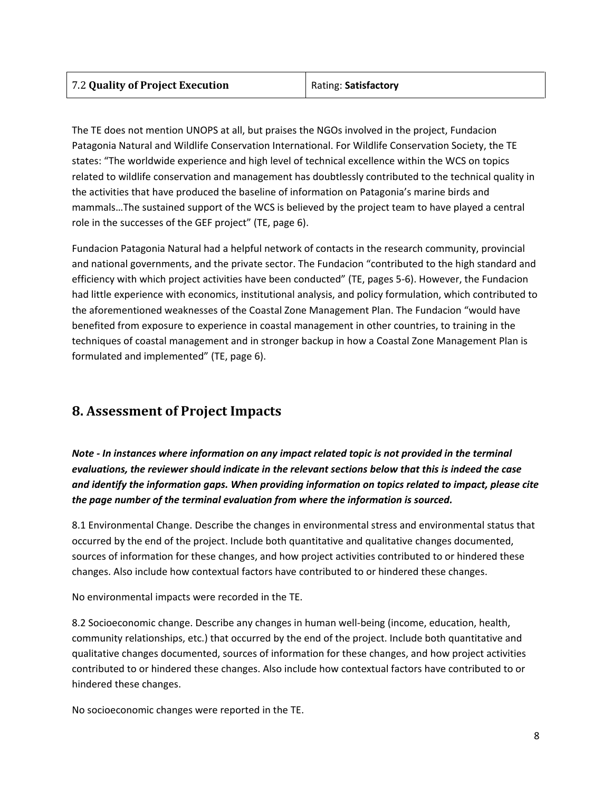| 7.2 Quality of Project Execution |  |
|----------------------------------|--|
|----------------------------------|--|

The TE does not mention UNOPS at all, but praises the NGOs involved in the project, Fundacion Patagonia Natural and Wildlife Conservation International. For Wildlife Conservation Society, the TE states: "The worldwide experience and high level of technical excellence within the WCS on topics related to wildlife conservation and management has doubtlessly contributed to the technical quality in the activities that have produced the baseline of information on Patagonia's marine birds and mammals…The sustained support of the WCS is believed by the project team to have played a central role in the successes of the GEF project" (TE, page 6).

Fundacion Patagonia Natural had a helpful network of contacts in the research community, provincial and national governments, and the private sector. The Fundacion "contributed to the high standard and efficiency with which project activities have been conducted" (TE, pages 5-6). However, the Fundacion had little experience with economics, institutional analysis, and policy formulation, which contributed to the aforementioned weaknesses of the Coastal Zone Management Plan. The Fundacion "would have benefited from exposure to experience in coastal management in other countries, to training in the techniques of coastal management and in stronger backup in how a Coastal Zone Management Plan is formulated and implemented" (TE, page 6).

## **8. Assessment of Project Impacts**

*Note - In instances where information on any impact related topic is not provided in the terminal evaluations, the reviewer should indicate in the relevant sections below that this is indeed the case and identify the information gaps. When providing information on topics related to impact, please cite the page number of the terminal evaluation from where the information is sourced.* 

8.1 Environmental Change. Describe the changes in environmental stress and environmental status that occurred by the end of the project. Include both quantitative and qualitative changes documented, sources of information for these changes, and how project activities contributed to or hindered these changes. Also include how contextual factors have contributed to or hindered these changes.

No environmental impacts were recorded in the TE.

8.2 Socioeconomic change. Describe any changes in human well-being (income, education, health, community relationships, etc.) that occurred by the end of the project. Include both quantitative and qualitative changes documented, sources of information for these changes, and how project activities contributed to or hindered these changes. Also include how contextual factors have contributed to or hindered these changes.

No socioeconomic changes were reported in the TE.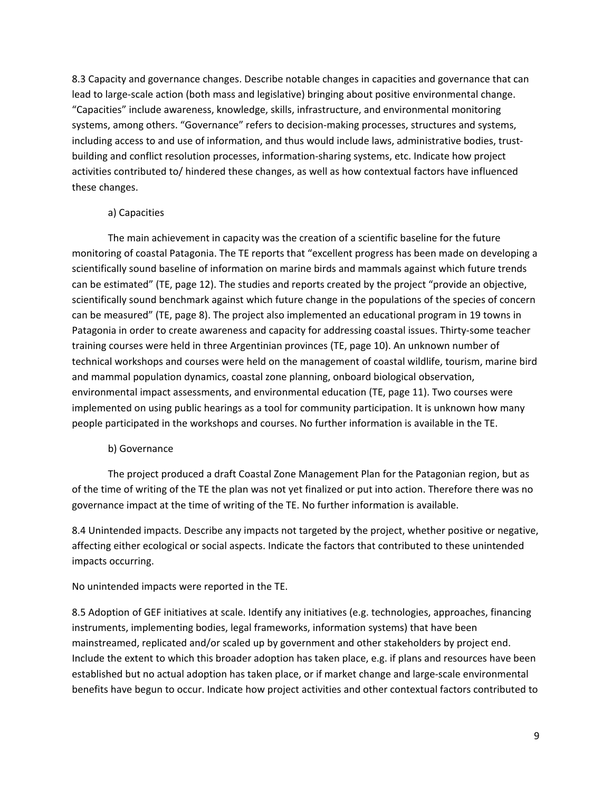8.3 Capacity and governance changes. Describe notable changes in capacities and governance that can lead to large-scale action (both mass and legislative) bringing about positive environmental change. "Capacities" include awareness, knowledge, skills, infrastructure, and environmental monitoring systems, among others. "Governance" refers to decision-making processes, structures and systems, including access to and use of information, and thus would include laws, administrative bodies, trustbuilding and conflict resolution processes, information-sharing systems, etc. Indicate how project activities contributed to/ hindered these changes, as well as how contextual factors have influenced these changes.

#### a) Capacities

The main achievement in capacity was the creation of a scientific baseline for the future monitoring of coastal Patagonia. The TE reports that "excellent progress has been made on developing a scientifically sound baseline of information on marine birds and mammals against which future trends can be estimated" (TE, page 12). The studies and reports created by the project "provide an objective, scientifically sound benchmark against which future change in the populations of the species of concern can be measured" (TE, page 8). The project also implemented an educational program in 19 towns in Patagonia in order to create awareness and capacity for addressing coastal issues. Thirty-some teacher training courses were held in three Argentinian provinces (TE, page 10). An unknown number of technical workshops and courses were held on the management of coastal wildlife, tourism, marine bird and mammal population dynamics, coastal zone planning, onboard biological observation, environmental impact assessments, and environmental education (TE, page 11). Two courses were implemented on using public hearings as a tool for community participation. It is unknown how many people participated in the workshops and courses. No further information is available in the TE.

#### b) Governance

The project produced a draft Coastal Zone Management Plan for the Patagonian region, but as of the time of writing of the TE the plan was not yet finalized or put into action. Therefore there was no governance impact at the time of writing of the TE. No further information is available.

8.4 Unintended impacts. Describe any impacts not targeted by the project, whether positive or negative, affecting either ecological or social aspects. Indicate the factors that contributed to these unintended impacts occurring.

#### No unintended impacts were reported in the TE.

8.5 Adoption of GEF initiatives at scale. Identify any initiatives (e.g. technologies, approaches, financing instruments, implementing bodies, legal frameworks, information systems) that have been mainstreamed, replicated and/or scaled up by government and other stakeholders by project end. Include the extent to which this broader adoption has taken place, e.g. if plans and resources have been established but no actual adoption has taken place, or if market change and large-scale environmental benefits have begun to occur. Indicate how project activities and other contextual factors contributed to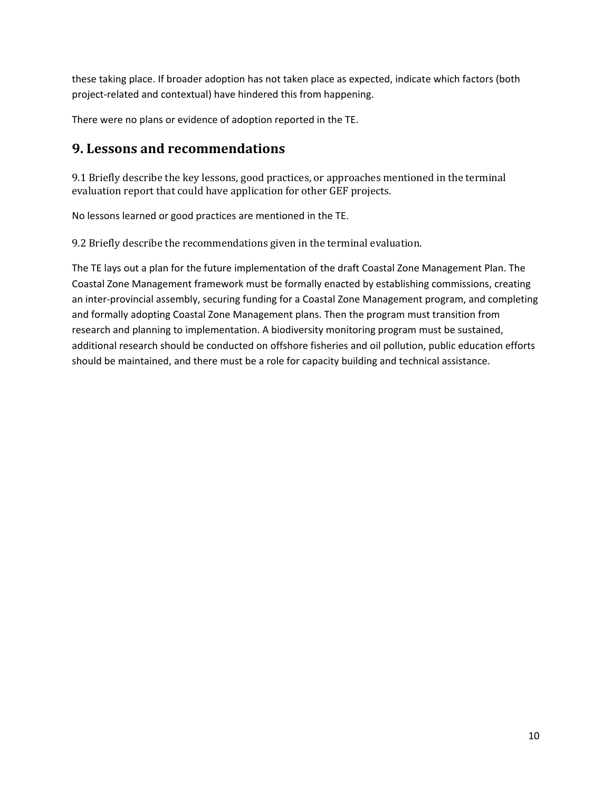these taking place. If broader adoption has not taken place as expected, indicate which factors (both project-related and contextual) have hindered this from happening.

There were no plans or evidence of adoption reported in the TE.

### **9. Lessons and recommendations**

9.1 Briefly describe the key lessons, good practices, or approaches mentioned in the terminal evaluation report that could have application for other GEF projects.

No lessons learned or good practices are mentioned in the TE.

9.2 Briefly describe the recommendations given in the terminal evaluation.

The TE lays out a plan for the future implementation of the draft Coastal Zone Management Plan. The Coastal Zone Management framework must be formally enacted by establishing commissions, creating an inter-provincial assembly, securing funding for a Coastal Zone Management program, and completing and formally adopting Coastal Zone Management plans. Then the program must transition from research and planning to implementation. A biodiversity monitoring program must be sustained, additional research should be conducted on offshore fisheries and oil pollution, public education efforts should be maintained, and there must be a role for capacity building and technical assistance.